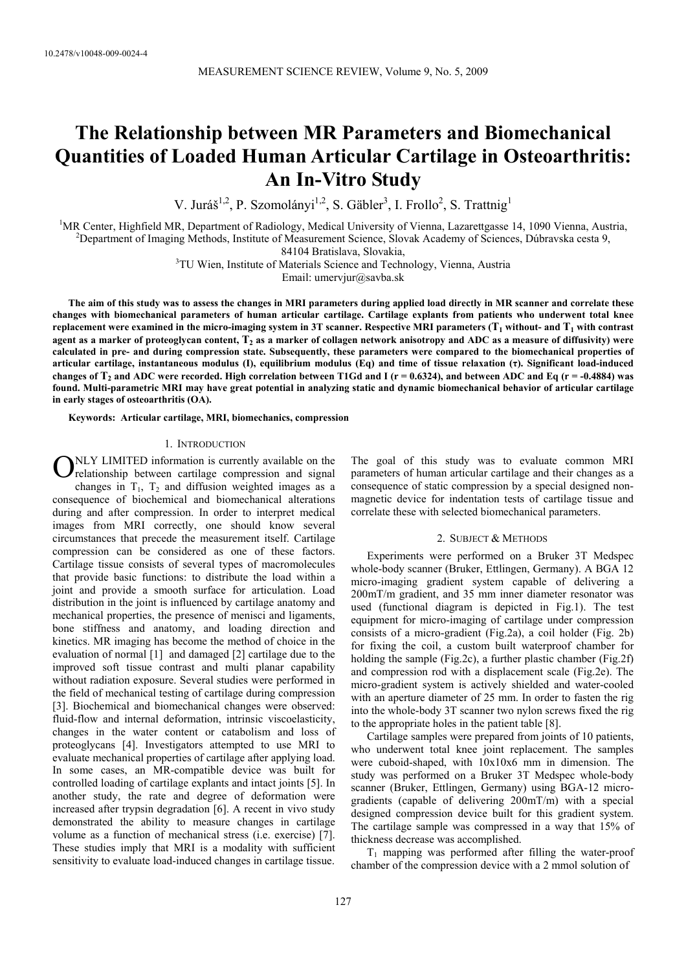# **The Relationship between MR Parameters and Biomechanical Quantities of Loaded Human Articular Cartilage in Osteoarthritis: An In-Vitro Study**

V. Juráš<sup>1,2</sup>, P. Szomolányi<sup>1,2</sup>, S. Gäbler<sup>3</sup>, I. Frollo<sup>2</sup>, S. Trattnig<sup>1</sup>

<sup>1</sup>MR Center, Highfield MR, Department of Radiology, Medical University of Vienna, Lazarettgasse 14, 1090 Vienna, Austria, <sup>2</sup><br><sup>2</sup> Department of Imaging Methods, Institute of Measurement Science, Slovek Acedemy of Sciences <sup>2</sup>Department of Imaging Methods, Institute of Measurement Science, Slovak Academy of Sciences, Dúbravska cesta 9,

84104 Bratislava, Slovakia, 3 TU Wien, Institute of Materials Science and Technology, Vienna, Austria

Email: umervjur@savba.sk

**The aim of this study was to assess the changes in MRI parameters during applied load directly in MR scanner and correlate these changes with biomechanical parameters of human articular cartilage. Cartilage explants from patients who underwent total knee**  replacement were examined in the micro-imaging system in 3T scanner. Respective MRI parameters  $(T_1$  without- and  $T_1$  with contrast agent as a marker of proteoglycan content,  $T<sub>2</sub>$  as a marker of collagen network anisotropy and ADC as a measure of diffusivity) were **calculated in pre- and during compression state. Subsequently, these parameters were compared to the biomechanical properties of articular cartilage, instantaneous modulus (I), equilibrium modulus (Eq) and time of tissue relaxation (τ). Significant load-induced**  changes of  $T_2$  and ADC were recorded. High correlation between T1Gd and I ( $r = 0.6324$ ), and between ADC and Eq ( $r = -0.4884$ ) was **found. Multi-parametric MRI may have great potential in analyzing static and dynamic biomechanical behavior of articular cartilage in early stages of osteoarthritis (OA).** 

**Keywords: Articular cartilage, MRI, biomechanics, compression** 

#### 1. INTRODUCTION

ONLY LIMITED information is currently available on the relationship between cartilage compression and signal relationship between cartilage compression and signal changes in  $T_1$ ,  $T_2$  and diffusion weighted images as a consequence of biochemical and biomechanical alterations during and after compression. In order to interpret medical images from MRI correctly, one should know several circumstances that precede the measurement itself. Cartilage compression can be considered as one of these factors. Cartilage tissue consists of several types of macromolecules that provide basic functions: to distribute the load within a joint and provide a smooth surface for articulation. Load distribution in the joint is influenced by cartilage anatomy and mechanical properties, the presence of menisci and ligaments, bone stiffness and anatomy, and loading direction and kinetics. MR imaging has become the method of choice in the evaluation of normal [1] and damaged [2] cartilage due to the improved soft tissue contrast and multi planar capability without radiation exposure. Several studies were performed in the field of mechanical testing of cartilage during compression [3]. Biochemical and biomechanical changes were observed: fluid-flow and internal deformation, intrinsic viscoelasticity, changes in the water content or catabolism and loss of proteoglycans [4]. Investigators attempted to use MRI to evaluate mechanical properties of cartilage after applying load. In some cases, an MR-compatible device was built for controlled loading of cartilage explants and intact joints [5]. In another study, the rate and degree of deformation were increased after trypsin degradation [6]. A recent in vivo study demonstrated the ability to measure changes in cartilage volume as a function of mechanical stress (i.e. exercise) [7]. These studies imply that MRI is a modality with sufficient sensitivity to evaluate load-induced changes in cartilage tissue.

The goal of this study was to evaluate common MRI parameters of human articular cartilage and their changes as a consequence of static compression by a special designed nonmagnetic device for indentation tests of cartilage tissue and correlate these with selected biomechanical parameters.

## 2. SUBJECT & METHODS

Experiments were performed on a Bruker 3T Medspec whole-body scanner (Bruker, Ettlingen, Germany). A BGA 12 micro-imaging gradient system capable of delivering a 200mT/m gradient, and 35 mm inner diameter resonator was used (functional diagram is depicted in Fig.1). The test equipment for micro-imaging of cartilage under compression consists of a micro-gradient (Fig.2a), a coil holder (Fig. 2b) for fixing the coil, a custom built waterproof chamber for holding the sample (Fig.2c), a further plastic chamber (Fig.2f) and compression rod with a displacement scale (Fig.2e). The micro-gradient system is actively shielded and water-cooled with an aperture diameter of 25 mm. In order to fasten the rig into the whole-body 3T scanner two nylon screws fixed the rig to the appropriate holes in the patient table [8].

Cartilage samples were prepared from joints of 10 patients, who underwent total knee joint replacement. The samples were cuboid-shaped, with 10x10x6 mm in dimension. The study was performed on a Bruker 3T Medspec whole-body scanner (Bruker, Ettlingen, Germany) using BGA-12 microgradients (capable of delivering 200mT/m) with a special designed compression device built for this gradient system. The cartilage sample was compressed in a way that 15% of thickness decrease was accomplished.

 $T_1$  mapping was performed after filling the water-proof chamber of the compression device with a 2 mmol solution of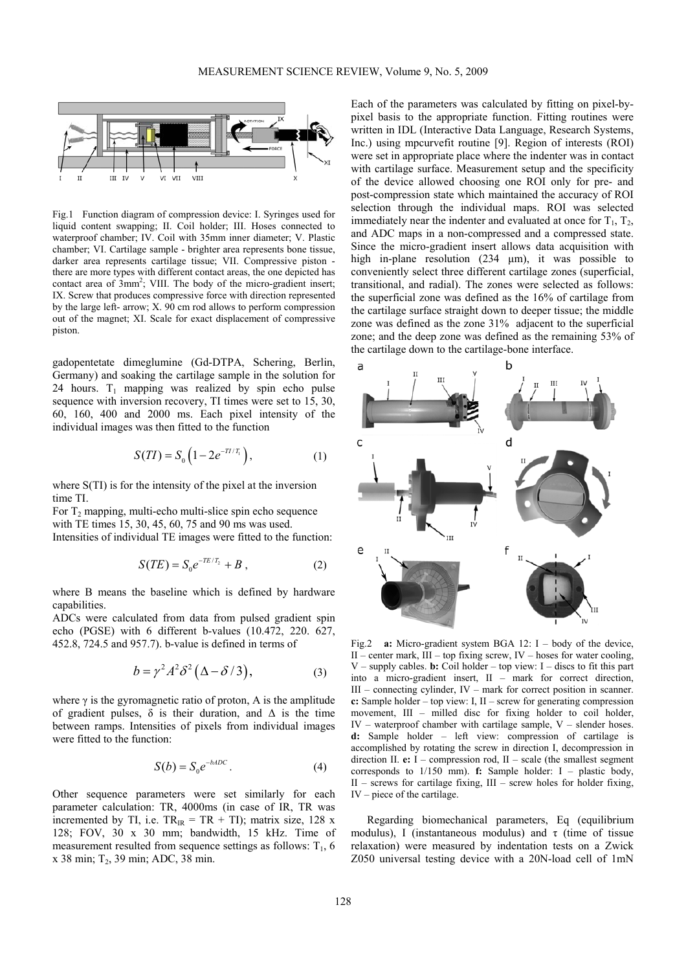

Fig.1 Function diagram of compression device: I. Syringes used for liquid content swapping; II. Coil holder; III. Hoses connected to waterproof chamber; IV. Coil with 35mm inner diameter; V. Plastic chamber; VI. Cartilage sample - brighter area represents bone tissue, darker area represents cartilage tissue; VII. Compressive piston there are more types with different contact areas, the one depicted has contact area of  $3mm^2$ ; VIII. The body of the micro-gradient insert; IX. Screw that produces compressive force with direction represented by the large left- arrow; X. 90 cm rod allows to perform compression out of the magnet; XI. Scale for exact displacement of compressive piston.

gadopentetate dimeglumine (Gd-DTPA, Schering, Berlin, Germany) and soaking the cartilage sample in the solution for 24 hours.  $T_1$  mapping was realized by spin echo pulse sequence with inversion recovery, TI times were set to 15, 30, 60, 160, 400 and 2000 ms. Each pixel intensity of the individual images was then fitted to the function

$$
S(TI) = S_0 \left( 1 - 2e^{-T^2/T_1} \right), \tag{1}
$$

where S(TI) is for the intensity of the pixel at the inversion time TI.

For  $T_2$  mapping, multi-echo multi-slice spin echo sequence with TE times 15, 30, 45, 60, 75 and 90 ms was used. Intensities of individual TE images were fitted to the function:

$$
S(TE) = S_0 e^{-TE/T_2} + B , \qquad (2)
$$

where B means the baseline which is defined by hardware capabilities.

ADCs were calculated from data from pulsed gradient spin echo (PGSE) with 6 different b-values (10.472, 220. 627, 452.8, 724.5 and 957.7). b-value is defined in terms of

$$
b = \gamma^2 A^2 \delta^2 (\Delta - \delta / 3), \tag{3}
$$

where  $\gamma$  is the gyromagnetic ratio of proton, A is the amplitude of gradient pulses,  $\delta$  is their duration, and  $\Delta$  is the time between ramps. Intensities of pixels from individual images were fitted to the function:

$$
S(b) = S_0 e^{-bADC}.
$$
 (4)

Other sequence parameters were set similarly for each parameter calculation: TR, 4000ms (in case of IR, TR was incremented by TI, i.e.  $TR_{IR} = TR + TI$ ; matrix size, 128 x 128; FOV, 30 x 30 mm; bandwidth, 15 kHz. Time of measurement resulted from sequence settings as follows:  $T_1$ , 6 x 38 min; T2, 39 min; ADC, 38 min.

Each of the parameters was calculated by fitting on pixel-bypixel basis to the appropriate function. Fitting routines were written in IDL (Interactive Data Language, Research Systems, Inc.) using mpcurvefit routine [9]. Region of interests (ROI) were set in appropriate place where the indenter was in contact with cartilage surface. Measurement setup and the specificity of the device allowed choosing one ROI only for pre- and post-compression state which maintained the accuracy of ROI selection through the individual maps. ROI was selected immediately near the indenter and evaluated at once for  $T_1$ ,  $T_2$ , and ADC maps in a non-compressed and a compressed state. Since the micro-gradient insert allows data acquisition with high in-plane resolution (234 µm), it was possible to conveniently select three different cartilage zones (superficial, transitional, and radial). The zones were selected as follows: the superficial zone was defined as the 16% of cartilage from the cartilage surface straight down to deeper tissue; the middle zone was defined as the zone 31% adjacent to the superficial zone; and the deep zone was defined as the remaining 53% of the cartilage down to the cartilage-bone interface.



Fig.2 **a:** Micro-gradient system BGA 12: I – body of the device, II – center mark,  $III$  – top fixing screw, IV – hoses for water cooling,  $V$  – supply cables. **b:** Coil holder – top view: I – discs to fit this part into a micro-gradient insert, II – mark for correct direction, III – connecting cylinder, IV – mark for correct position in scanner. **c:** Sample holder – top view: I, II – screw for generating compression movement, III – milled disc for fixing holder to coil holder, IV – waterproof chamber with cartilage sample, V – slender hoses. **d:** Sample holder – left view: compression of cartilage is accomplished by rotating the screw in direction I, decompression in direction II. **e:** I – compression rod, II – scale (the smallest segment corresponds to 1/150 mm). **f:** Sample holder: I – plastic body,  $II$  – screws for cartilage fixing,  $III$  – screw holes for holder fixing, IV – piece of the cartilage.

Regarding biomechanical parameters, Eq (equilibrium modulus), I (instantaneous modulus) and  $\tau$  (time of tissue relaxation) were measured by indentation tests on a Zwick Z050 universal testing device with a 20N-load cell of 1mN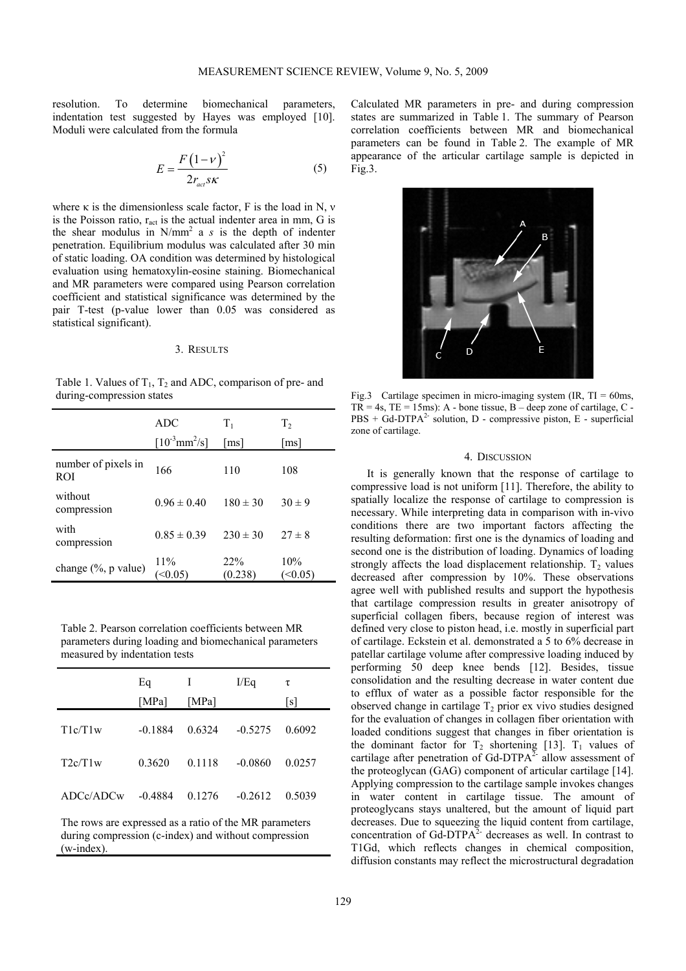resolution. To determine biomechanical parameters, indentation test suggested by Hayes was employed [10]. Moduli were calculated from the formula

$$
E = \frac{F(1 - v)^2}{2r_{act} s\kappa} \tag{5}
$$

where  $\kappa$  is the dimensionless scale factor, F is the load in N,  $\nu$ is the Poisson ratio,  $r_{\text{act}}$  is the actual indenter area in mm, G is the shear modulus in  $N/mm^2$  a *s* is the depth of indenter penetration. Equilibrium modulus was calculated after 30 min of static loading. OA condition was determined by histological evaluation using hematoxylin-eosine staining. Biomechanical and MR parameters were compared using Pearson correlation coefficient and statistical significance was determined by the pair T-test (p-value lower than 0.05 was considered as statistical significant).

## 3. RESULTS

Table 1. Values of  $T_1$ ,  $T_2$  and ADC, comparison of pre- and during-compression states

|                                   | <b>ADC</b><br>$[10^{3}$ mm <sup>2</sup> /s] | $T_{1}$<br>[ms] | $T_{2}$<br>[ms] |
|-----------------------------------|---------------------------------------------|-----------------|-----------------|
| number of pixels in<br><b>ROI</b> | 166                                         | 110             | 108             |
| without<br>compression            | $0.96 \pm 0.40$                             | $180 \pm 30$    | $30 \pm 9$      |
| with<br>compression               | $0.85 \pm 0.39$                             | $230 \pm 30$    | $27 \pm 8$      |
| change (%, p value)               | 11%                                         | 22%<br>(0.238)  | 10%<br>(<0.05)  |

Table 2. Pearson correlation coefficients between MR parameters during loading and biomechanical parameters measured by indentation tests

|          | Eq<br>[MPa] | Ι<br>[MPa] | I/Eq      | τ<br>l s l |
|----------|-------------|------------|-----------|------------|
| T1c/T1w  | $-0.1884$   | 0.6324     | $-0.5275$ | 0.6092     |
| T2c/T1w  | 0.3620      | 0.1118     | $-0.0860$ | 0.0257     |
| ADC/ADCw | $-0.4884$   | 0.1276     | $-0.2612$ | 0.5039     |
|          |             |            |           |            |

The rows are expressed as a ratio of the MR parameters during compression (c-index) and without compression (w-index).

Calculated MR parameters in pre- and during compression states are summarized in Table 1. The summary of Pearson correlation coefficients between MR and biomechanical parameters can be found in Table 2. The example of MR appearance of the articular cartilage sample is depicted in Fig.3.



Fig.3 Cartilage specimen in micro-imaging system (IR, TI = 60ms,  $TR = 4s$ ,  $TE = 15$ ms): A - bone tissue, B – deep zone of cartilage, C - $PBS + Gd-DTPA<sup>2-</sup> solution, D - compressive piston, E - superficial$ zone of cartilage.

### 4. DISCUSSION

It is generally known that the response of cartilage to compressive load is not uniform [11]. Therefore, the ability to spatially localize the response of cartilage to compression is necessary. While interpreting data in comparison with in-vivo conditions there are two important factors affecting the resulting deformation: first one is the dynamics of loading and second one is the distribution of loading. Dynamics of loading strongly affects the load displacement relationship.  $T_2$  values decreased after compression by 10%. These observations agree well with published results and support the hypothesis that cartilage compression results in greater anisotropy of superficial collagen fibers, because region of interest was defined very close to piston head, i.e. mostly in superficial part of cartilage. Eckstein et al. demonstrated a 5 to 6% decrease in patellar cartilage volume after compressive loading induced by performing 50 deep knee bends [12]. Besides, tissue consolidation and the resulting decrease in water content due to efflux of water as a possible factor responsible for the observed change in cartilage  $T_2$  prior ex vivo studies designed for the evaluation of changes in collagen fiber orientation with loaded conditions suggest that changes in fiber orientation is the dominant factor for  $T_2$  shortening [13].  $T_1$  values of cartilage after penetration of Gd-DTPA $^2$ - allow assessment of the proteoglycan (GAG) component of articular cartilage [14]. Applying compression to the cartilage sample invokes changes in water content in cartilage tissue. The amount of proteoglycans stays unaltered, but the amount of liquid part decreases. Due to squeezing the liquid content from cartilage, concentration of Gd-DTP $A^2$ - decreases as well. In contrast to T1Gd, which reflects changes in chemical composition, diffusion constants may reflect the microstructural degradation